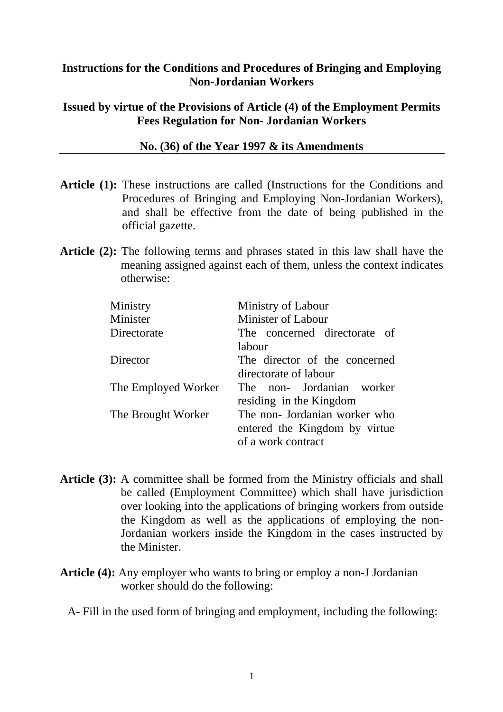## **Instructions for the Conditions and Procedures of Bringing and Employing Non-Jordanian Workers**

#### **Issued by virtue of the Provisions of Article (4) of the Employment Permits Fees Regulation for Non- Jordanian Workers**

#### **No. (36) of the Year 1997 & its Amendments**

- Article (1): These instructions are called (Instructions for the Conditions and Procedures of Bringing and Employing Non-Jordanian Workers), and shall be effective from the date of being published in the official gazette.
- **Article (2):** The following terms and phrases stated in this law shall have the meaning assigned against each of them, unless the context indicates otherwise:

| Ministry            | Ministry of Labour            |
|---------------------|-------------------------------|
| Minister            | <b>Minister of Labour</b>     |
| Directorate         | The concerned directorate of  |
|                     | labour                        |
| Director            | The director of the concerned |
|                     | directorate of labour         |
| The Employed Worker | The non- Jordanian worker     |
|                     | residing in the Kingdom       |
| The Brought Worker  | The non- Jordanian worker who |
|                     | entered the Kingdom by virtue |
|                     | of a work contract            |

- **Article (3):** A committee shall be formed from the Ministry officials and shall be called (Employment Committee) which shall have jurisdiction over looking into the applications of bringing workers from outside the Kingdom as well as the applications of employing the non-Jordanian workers inside the Kingdom in the cases instructed by the Minister.
- **Article (4):** Any employer who wants to bring or employ a non-J Jordanian worker should do the following:
	- A- Fill in the used form of bringing and employment, including the following: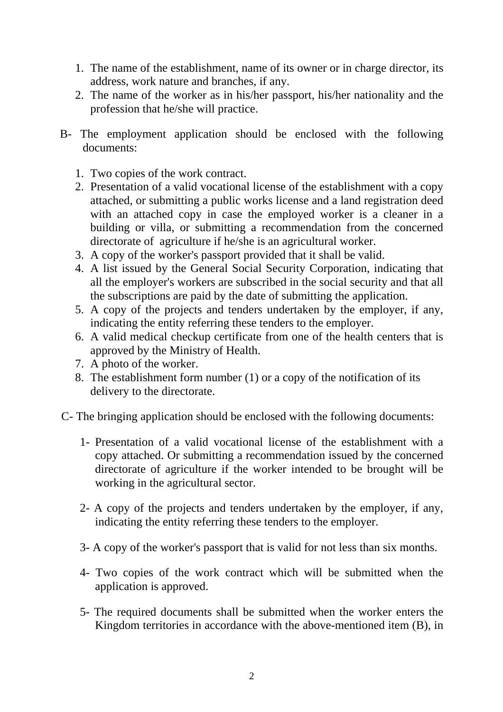- 1. The name of the establishment, name of its owner or in charge director, its address, work nature and branches, if any.
- 2. The name of the worker as in his/her passport, his/her nationality and the profession that he/she will practice.
- B- The employment application should be enclosed with the following documents:
	- 1. Two copies of the work contract.
	- 2. Presentation of a valid vocational license of the establishment with a copy attached, or submitting a public works license and a land registration deed with an attached copy in case the employed worker is a cleaner in a building or villa, or submitting a recommendation from the concerned directorate of agriculture if he/she is an agricultural worker.
	- 3. A copy of the worker's passport provided that it shall be valid.
	- 4. A list issued by the General Social Security Corporation, indicating that all the employer's workers are subscribed in the social security and that all the subscriptions are paid by the date of submitting the application.
	- 5. A copy of the projects and tenders undertaken by the employer, if any, indicating the entity referring these tenders to the employer.
	- 6. A valid medical checkup certificate from one of the health centers that is approved by the Ministry of Health.
	- 7. A photo of the worker.
	- 8. The establishment form number (1) or a copy of the notification of its delivery to the directorate.
- C- The bringing application should be enclosed with the following documents:
	- 1- Presentation of a valid vocational license of the establishment with a copy attached. Or submitting a recommendation issued by the concerned directorate of agriculture if the worker intended to be brought will be working in the agricultural sector.
	- 2- A copy of the projects and tenders undertaken by the employer, if any, indicating the entity referring these tenders to the employer.
	- 3- A copy of the worker's passport that is valid for not less than six months.
	- 4- Two copies of the work contract which will be submitted when the application is approved.
	- 5- The required documents shall be submitted when the worker enters the Kingdom territories in accordance with the above-mentioned item (B), in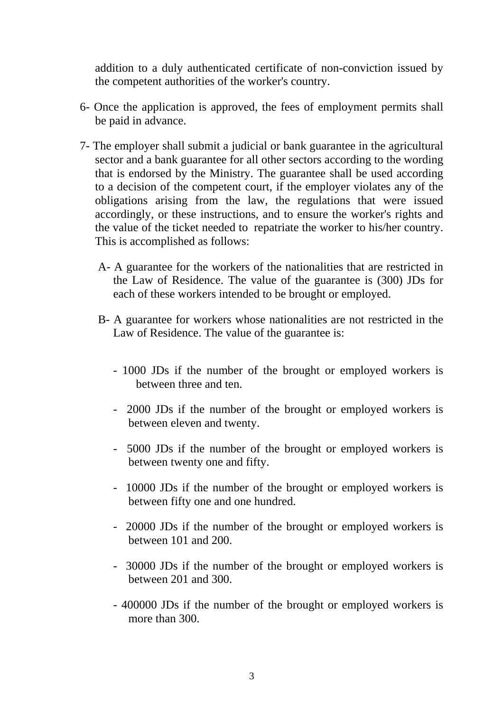addition to a duly authenticated certificate of non-conviction issued by the competent authorities of the worker's country.

- 6- Once the application is approved, the fees of employment permits shall be paid in advance.
- 7- The employer shall submit a judicial or bank guarantee in the agricultural sector and a bank guarantee for all other sectors according to the wording that is endorsed by the Ministry. The guarantee shall be used according to a decision of the competent court, if the employer violates any of the obligations arising from the law, the regulations that were issued accordingly, or these instructions, and to ensure the worker's rights and the value of the ticket needed to repatriate the worker to his/her country. This is accomplished as follows:
	- A- A guarantee for the workers of the nationalities that are restricted in the Law of Residence. The value of the guarantee is (300) JDs for each of these workers intended to be brought or employed.
	- B- A guarantee for workers whose nationalities are not restricted in the Law of Residence. The value of the guarantee is:
		- 1000 JDs if the number of the brought or employed workers is between three and ten.
		- 2000 JDs if the number of the brought or employed workers is between eleven and twenty.
		- 5000 JDs if the number of the brought or employed workers is between twenty one and fifty.
		- 10000 JDs if the number of the brought or employed workers is between fifty one and one hundred.
		- 20000 JDs if the number of the brought or employed workers is between 101 and 200.
		- 30000 JDs if the number of the brought or employed workers is between 201 and 300.
		- 400000 JDs if the number of the brought or employed workers is more than 300.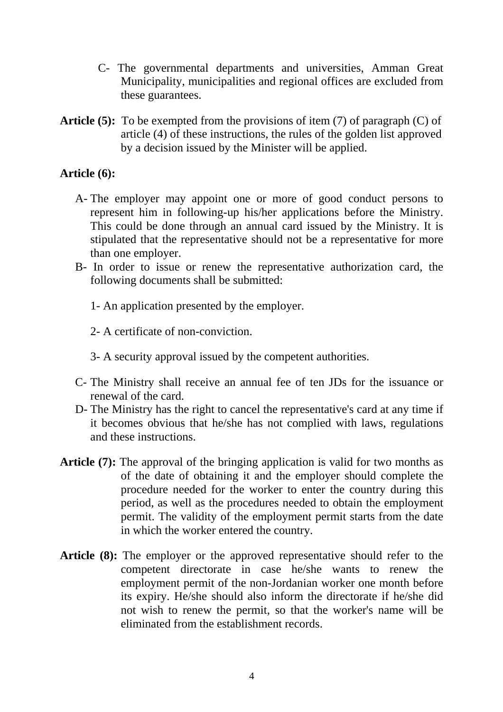- C- The governmental departments and universities, Amman Great Municipality, municipalities and regional offices are excluded from these guarantees.
- **Article (5):** To be exempted from the provisions of item (7) of paragraph (C) of article (4) of these instructions, the rules of the golden list approved by a decision issued by the Minister will be applied.

## **Article (6):**

- A- The employer may appoint one or more of good conduct persons to represent him in following-up his/her applications before the Ministry. This could be done through an annual card issued by the Ministry. It is stipulated that the representative should not be a representative for more than one employer.
- B- In order to issue or renew the representative authorization card, the following documents shall be submitted:
	- 1- An application presented by the employer.
	- 2- A certificate of non-conviction.
	- 3- A security approval issued by the competent authorities.
- C- The Ministry shall receive an annual fee of ten JDs for the issuance or renewal of the card.
- D- The Ministry has the right to cancel the representative's card at any time if it becomes obvious that he/she has not complied with laws, regulations and these instructions.
- **Article (7):** The approval of the bringing application is valid for two months as of the date of obtaining it and the employer should complete the procedure needed for the worker to enter the country during this period, as well as the procedures needed to obtain the employment permit. The validity of the employment permit starts from the date in which the worker entered the country.
- **Article (8):** The employer or the approved representative should refer to the competent directorate in case he/she wants to renew the employment permit of the non-Jordanian worker one month before its expiry. He/she should also inform the directorate if he/she did not wish to renew the permit, so that the worker's name will be eliminated from the establishment records.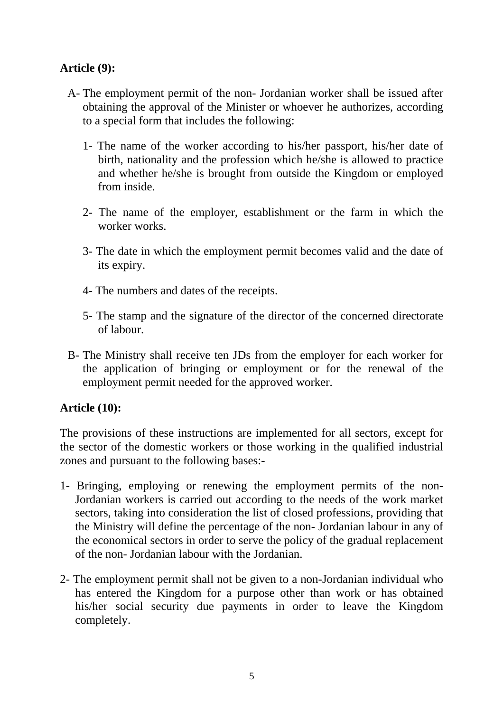# **Article (9):**

- A- The employment permit of the non- Jordanian worker shall be issued after obtaining the approval of the Minister or whoever he authorizes, according to a special form that includes the following:
	- 1- The name of the worker according to his/her passport, his/her date of birth, nationality and the profession which he/she is allowed to practice and whether he/she is brought from outside the Kingdom or employed from inside.
	- 2- The name of the employer, establishment or the farm in which the worker works.
	- 3- The date in which the employment permit becomes valid and the date of its expiry.
	- 4- The numbers and dates of the receipts.
	- 5- The stamp and the signature of the director of the concerned directorate of labour.
- B- The Ministry shall receive ten JDs from the employer for each worker for the application of bringing or employment or for the renewal of the employment permit needed for the approved worker.

### **Article (10):**

The provisions of these instructions are implemented for all sectors, except for the sector of the domestic workers or those working in the qualified industrial zones and pursuant to the following bases:-

- 1- Bringing, employing or renewing the employment permits of the non-Jordanian workers is carried out according to the needs of the work market sectors, taking into consideration the list of closed professions, providing that the Ministry will define the percentage of the non- Jordanian labour in any of the economical sectors in order to serve the policy of the gradual replacement of the non- Jordanian labour with the Jordanian.
- 2- The employment permit shall not be given to a non-Jordanian individual who has entered the Kingdom for a purpose other than work or has obtained his/her social security due payments in order to leave the Kingdom completely.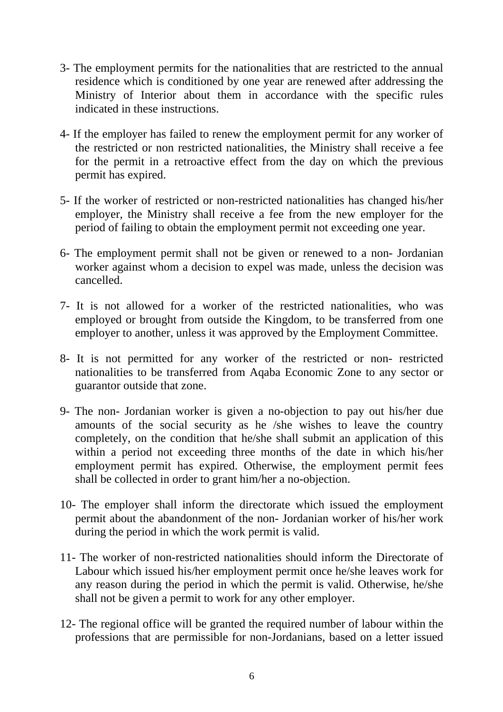- 3- The employment permits for the nationalities that are restricted to the annual residence which is conditioned by one year are renewed after addressing the Ministry of Interior about them in accordance with the specific rules indicated in these instructions.
- 4- If the employer has failed to renew the employment permit for any worker of the restricted or non restricted nationalities, the Ministry shall receive a fee for the permit in a retroactive effect from the day on which the previous permit has expired.
- 5- If the worker of restricted or non-restricted nationalities has changed his/her employer, the Ministry shall receive a fee from the new employer for the period of failing to obtain the employment permit not exceeding one year.
- 6- The employment permit shall not be given or renewed to a non- Jordanian worker against whom a decision to expel was made, unless the decision was cancelled.
- 7- It is not allowed for a worker of the restricted nationalities, who was employed or brought from outside the Kingdom, to be transferred from one employer to another, unless it was approved by the Employment Committee.
- 8- It is not permitted for any worker of the restricted or non- restricted nationalities to be transferred from Aqaba Economic Zone to any sector or guarantor outside that zone.
- 9- The non- Jordanian worker is given a no-objection to pay out his/her due amounts of the social security as he /she wishes to leave the country completely, on the condition that he/she shall submit an application of this within a period not exceeding three months of the date in which his/her employment permit has expired. Otherwise, the employment permit fees shall be collected in order to grant him/her a no-objection.
- 10- The employer shall inform the directorate which issued the employment permit about the abandonment of the non- Jordanian worker of his/her work during the period in which the work permit is valid.
- 11- The worker of non-restricted nationalities should inform the Directorate of Labour which issued his/her employment permit once he/she leaves work for any reason during the period in which the permit is valid. Otherwise, he/she shall not be given a permit to work for any other employer.
- 12- The regional office will be granted the required number of labour within the professions that are permissible for non-Jordanians, based on a letter issued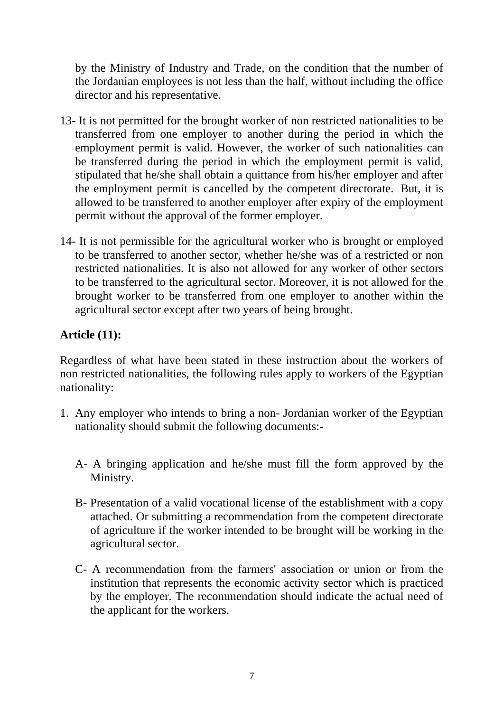by the Ministry of Industry and Trade, on the condition that the number of the Jordanian employees is not less than the half, without including the office director and his representative.

- 13- It is not permitted for the brought worker of non restricted nationalities to be transferred from one employer to another during the period in which the employment permit is valid. However, the worker of such nationalities can be transferred during the period in which the employment permit is valid, stipulated that he/she shall obtain a quittance from his/her employer and after the employment permit is cancelled by the competent directorate. But, it is allowed to be transferred to another employer after expiry of the employment permit without the approval of the former employer.
- 14- It is not permissible for the agricultural worker who is brought or employed to be transferred to another sector, whether he/she was of a restricted or non restricted nationalities. It is also not allowed for any worker of other sectors to be transferred to the agricultural sector. Moreover, it is not allowed for the brought worker to be transferred from one employer to another within the agricultural sector except after two years of being brought.

# **Article (11):**

Regardless of what have been stated in these instruction about the workers of non restricted nationalities, the following rules apply to workers of the Egyptian nationality:

- 1. Any employer who intends to bring a non- Jordanian worker of the Egyptian nationality should submit the following documents:-
	- A- A bringing application and he/she must fill the form approved by the Ministry.
	- B- Presentation of a valid vocational license of the establishment with a copy attached. Or submitting a recommendation from the competent directorate of agriculture if the worker intended to be brought will be working in the agricultural sector.
	- C- A recommendation from the farmers' association or union or from the institution that represents the economic activity sector which is practiced by the employer. The recommendation should indicate the actual need of the applicant for the workers.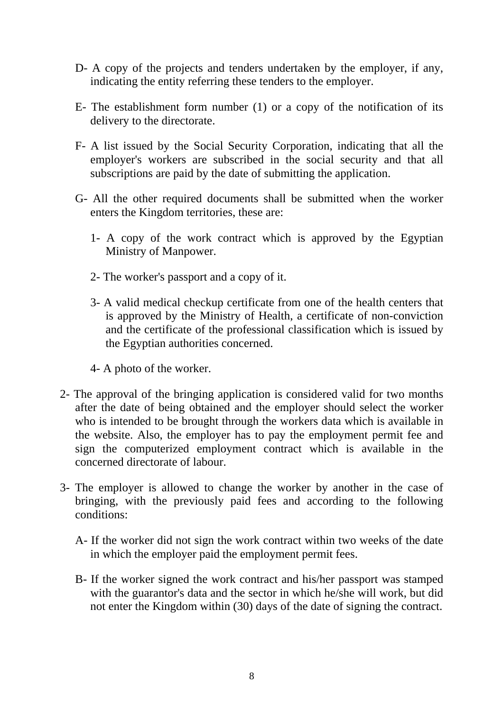- D- A copy of the projects and tenders undertaken by the employer, if any, indicating the entity referring these tenders to the employer.
- E- The establishment form number (1) or a copy of the notification of its delivery to the directorate.
- F- A list issued by the Social Security Corporation, indicating that all the employer's workers are subscribed in the social security and that all subscriptions are paid by the date of submitting the application.
- G- All the other required documents shall be submitted when the worker enters the Kingdom territories, these are:
	- 1- A copy of the work contract which is approved by the Egyptian Ministry of Manpower.
	- 2- The worker's passport and a copy of it.
	- 3- A valid medical checkup certificate from one of the health centers that is approved by the Ministry of Health, a certificate of non-conviction and the certificate of the professional classification which is issued by the Egyptian authorities concerned.
	- 4- A photo of the worker.
- 2- The approval of the bringing application is considered valid for two months after the date of being obtained and the employer should select the worker who is intended to be brought through the workers data which is available in the website. Also, the employer has to pay the employment permit fee and sign the computerized employment contract which is available in the concerned directorate of labour.
- 3- The employer is allowed to change the worker by another in the case of bringing, with the previously paid fees and according to the following conditions:
	- A- If the worker did not sign the work contract within two weeks of the date in which the employer paid the employment permit fees.
	- B- If the worker signed the work contract and his/her passport was stamped with the guarantor's data and the sector in which he/she will work, but did not enter the Kingdom within (30) days of the date of signing the contract.